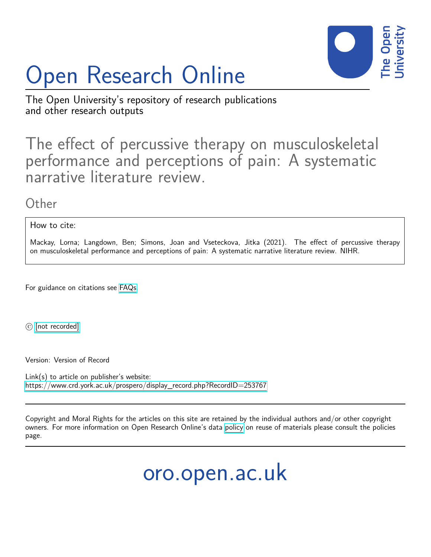

# Open Research Online

The Open University's repository of research publications and other research outputs

The effect of percussive therapy on musculoskeletal performance and perceptions of pain: A systematic narrative literature review.

**Other** 

How to cite:

Mackay, Lorna; Langdown, Ben; Simons, Joan and Vseteckova, Jitka (2021). The effect of percussive therapy on musculoskeletal performance and perceptions of pain: A systematic narrative literature review. NIHR.

For guidance on citations see [FAQs.](http://oro.open.ac.uk/help/helpfaq.html)

 $(c)$  [\[not recorded\]](http://oro.open.ac.uk/help/helpfaq.html#Unrecorded_information_on_coversheet)

Version: Version of Record

Link(s) to article on publisher's website: [https://www.crd.york.ac.uk/prospero/display\\_record.php?RecordID=253767](https://www.crd.york.ac.uk/prospero/display_record.php?RecordID=253767)

Copyright and Moral Rights for the articles on this site are retained by the individual authors and/or other copyright owners. For more information on Open Research Online's data [policy](http://oro.open.ac.uk/policies.html) on reuse of materials please consult the policies page.

oro.open.ac.uk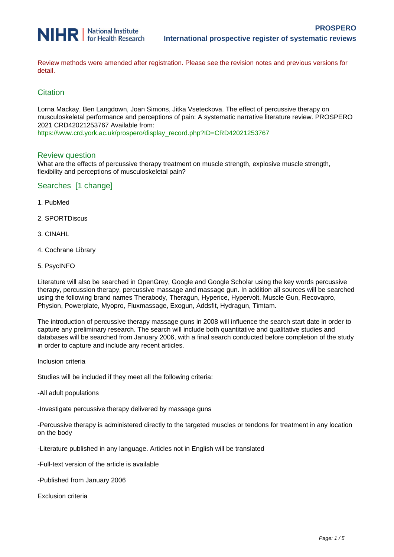

Review methods were amended after registration. Please see the revision notes and previous versions for detail.

#### **Citation**

Lorna Mackay, Ben Langdown, Joan Simons, Jitka Vseteckova. The effect of percussive therapy on musculoskeletal performance and perceptions of pain: A systematic narrative literature review. PROSPERO 2021 CRD42021253767 Available from:

[https://www.crd.york.ac.uk/prospero/display\\_record.php?ID=CRD42021253767](https://www.crd.york.ac.uk/prospero/display_record.php?ID=CRD42021253767)

#### Review question

What are the effects of percussive therapy treatment on muscle strength, explosive muscle strength, flexibility and perceptions of musculoskeletal pain?

#### Searches [1 change]

- 1. PubMed
- 2. SPORTDiscus
- 3. CINAHL
- 4. Cochrane Library
- 5. PsycINFO

Literature will also be searched in OpenGrey, Google and Google Scholar using the key words percussive therapy, percussion therapy, percussive massage and massage gun. In addition all sources will be searched using the following brand names Therabody, Theragun, Hyperice, Hypervolt, Muscle Gun, Recovapro, Physion, Powerplate, Myopro, Fluxmassage, Exogun, Addsfit, Hydragun, Timtam.

The introduction of percussive therapy massage guns in 2008 will influence the search start date in order to capture any preliminary research. The search will include both quantitative and qualitative studies and databases will be searched from January 2006, with a final search conducted before completion of the study in order to capture and include any recent articles.

Inclusion criteria

Studies will be included if they meet all the following criteria:

-All adult populations

-Investigate percussive therapy delivered by massage guns

-Percussive therapy is administered directly to the targeted muscles or tendons for treatment in any location on the body

-Literature published in any language. Articles not in English will be translated

-Full-text version of the article is available

-Published from January 2006

Exclusion criteria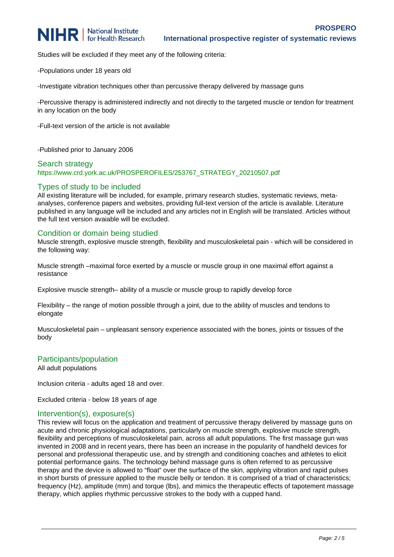Studies will be excluded if they meet any of the following criteria:

-Populations under 18 years old

-Investigate vibration techniques other than percussive therapy delivered by massage guns

-Percussive therapy is administered indirectly and not directly to the targeted muscle or tendon for treatment in any location on the body

-Full-text version of the article is not available

-Published prior to January 2006

#### Search strategy https://www.crd.york.ac.uk/PROSPEROFILES/253767\_STRATEGY\_20210507.pdf

#### Types of study to be included

All existing literature will be included, for example, primary research studies, systematic reviews, metaanalyses, conference papers and websites, providing full-text version of the article is available. Literature published in any language will be included and any articles not in English will be translated. Articles without the full text version avaiable will be excluded.

#### Condition or domain being studied

Muscle strength, explosive muscle strength, flexibility and musculoskeletal pain - which will be considered in the following way:

Muscle strength –maximal force exerted by a muscle or muscle group in one maximal effort against a resistance

Explosive muscle strength– ability of a muscle or muscle group to rapidly develop force

Flexibility – the range of motion possible through a joint, due to the ability of muscles and tendons to elongate

Musculoskeletal pain – unpleasant sensory experience associated with the bones, joints or tissues of the body

#### Participants/population

All adult populations

Inclusion criteria - adults aged 18 and over.

Excluded criteria - below 18 years of age

#### Intervention(s), exposure(s)

This review will focus on the application and treatment of percussive therapy delivered by massage guns on acute and chronic physiological adaptations, particularly on muscle strength, explosive muscle strength, flexibility and perceptions of musculoskeletal pain, across all adult populations. The first massage gun was invented in 2008 and in recent years, there has been an increase in the popularity of handheld devices for personal and professional therapeutic use, and by strength and conditioning coaches and athletes to elicit potential performance gains. The technology behind massage guns is often referred to as percussive therapy and the device is allowed to "float" over the surface of the skin, applying vibration and rapid pulses in short bursts of pressure applied to the muscle belly or tendon. It is comprised of a triad of characteristics; frequency (Hz), amplitude (mm) and torque (lbs), and mimics the therapeutic effects of tapotement massage therapy, which applies rhythmic percussive strokes to the body with a cupped hand.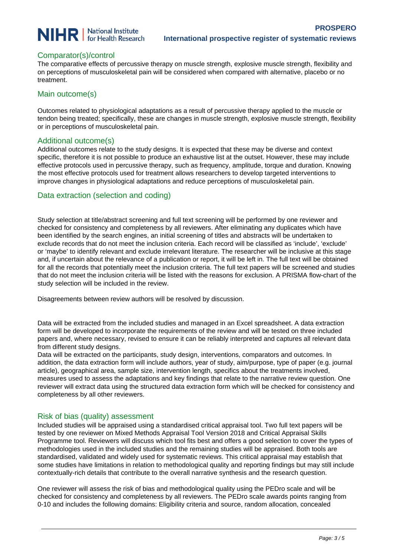### Comparator(s)/control

The comparative effects of percussive therapy on muscle strength, explosive muscle strength, flexibility and on perceptions of musculoskeletal pain will be considered when compared with alternative, placebo or no treatment.

### Main outcome(s)

Outcomes related to physiological adaptations as a result of percussive therapy applied to the muscle or tendon being treated; specifically, these are changes in muscle strength, explosive muscle strength, flexibility or in perceptions of musculoskeletal pain.

#### Additional outcome(s)

Additional outcomes relate to the study designs. It is expected that these may be diverse and context specific, therefore it is not possible to produce an exhaustive list at the outset. However, these may include effective protocols used in percussive therapy, such as frequency, amplitude, torque and duration. Knowing the most effective protocols used for treatment allows researchers to develop targeted interventions to improve changes in physiological adaptations and reduce perceptions of musculoskeletal pain.

### Data extraction (selection and coding)

Study selection at title/abstract screening and full text screening will be performed by one reviewer and checked for consistency and completeness by all reviewers. After eliminating any duplicates which have been identified by the search engines, an initial screening of titles and abstracts will be undertaken to exclude records that do not meet the inclusion criteria. Each record will be classified as 'include', 'exclude' or 'maybe' to identify relevant and exclude irrelevant literature. The researcher will be inclusive at this stage and, if uncertain about the relevance of a publication or report, it will be left in. The full text will be obtained for all the records that potentially meet the inclusion criteria. The full text papers will be screened and studies that do not meet the inclusion criteria will be listed with the reasons for exclusion. A PRISMA flow-chart of the study selection will be included in the review.

Disagreements between review authors will be resolved by discussion.

Data will be extracted from the included studies and managed in an Excel spreadsheet. A data extraction form will be developed to incorporate the requirements of the review and will be tested on three included papers and, where necessary, revised to ensure it can be reliably interpreted and captures all relevant data from different study designs.

Data will be extracted on the participants, study design, interventions, comparators and outcomes. In addition, the data extraction form will include authors, year of study, aim/purpose, type of paper (e.g. journal article), geographical area, sample size, intervention length, specifics about the treatments involved, measures used to assess the adaptations and key findings that relate to the narrative review question. One reviewer will extract data using the structured data extraction form which will be checked for consistency and completeness by all other reviewers.

#### Risk of bias (quality) assessment

Included studies will be appraised using a standardised critical appraisal tool. Two full text papers will be tested by one reviewer on Mixed Methods Appraisal Tool Version 2018 and Critical Appraisal Skills Programme tool. Reviewers will discuss which tool fits best and offers a good selection to cover the types of methodologies used in the included studies and the remaining studies will be appraised. Both tools are standardised, validated and widely used for systematic reviews. This critical appraisal may establish that some studies have limitations in relation to methodological quality and reporting findings but may still include contextually-rich details that contribute to the overall narrative synthesis and the research question.

One reviewer will assess the risk of bias and methodological quality using the PEDro scale and will be checked for consistency and completeness by all reviewers. The PEDro scale awards points ranging from 0-10 and includes the following domains: Eligibility criteria and source, random allocation, concealed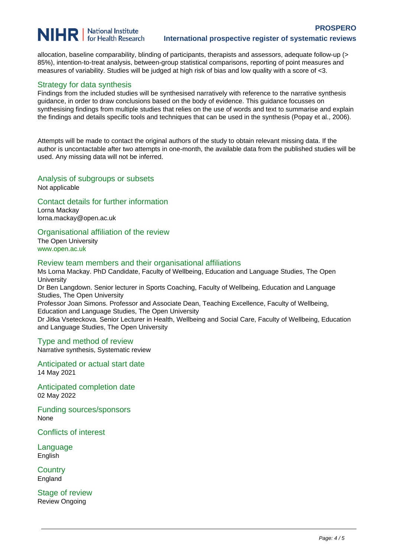allocation, baseline comparability, blinding of participants, therapists and assessors, adequate follow-up (> 85%), intention-to-treat analysis, between-group statistical comparisons, reporting of point measures and measures of variability. Studies will be judged at high risk of bias and low quality with a score of <3.

#### Strategy for data synthesis

Findings from the included studies will be synthesised narratively with reference to the narrative synthesis guidance, in order to draw conclusions based on the body of evidence. This guidance focusses on synthesising findings from multiple studies that relies on the use of words and text to summarise and explain the findings and details specific tools and techniques that can be used in the synthesis (Popay et al., 2006).

Attempts will be made to contact the original authors of the study to obtain relevant missing data. If the author is uncontactable after two attempts in one-month, the available data from the published studies will be used. Any missing data will not be inferred.

## Analysis of subgroups or subsets

Not applicable

### Contact details for further information

Lorna Mackay lorna.mackay@open.ac.uk

#### Organisational affiliation of the review The Open University

www.open.ac.uk

### Review team members and their organisational affiliations

Ms Lorna Mackay. PhD Candidate, Faculty of Wellbeing, Education and Language Studies, The Open University Dr Ben Langdown. Senior lecturer in Sports Coaching, Faculty of Wellbeing, Education and Language Studies, The Open University Professor Joan Simons. Professor and Associate Dean, Teaching Excellence, Faculty of Wellbeing, Education and Language Studies, The Open University

Dr Jitka Vseteckova. Senior Lecturer in Health, Wellbeing and Social Care, Faculty of Wellbeing, Education and Language Studies, The Open University

#### Type and method of review

Narrative synthesis, Systematic review

Anticipated or actual start date 14 May 2021

Anticipated completion date 02 May 2022

Funding sources/sponsors None

Conflicts of interest

Language English

**Country** England

Stage of review Review Ongoing